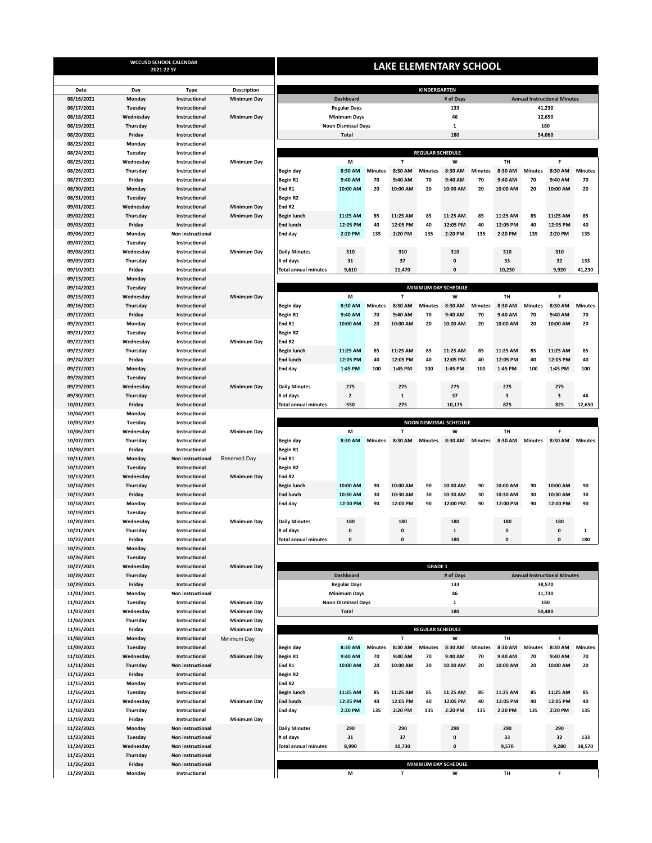|                          |                      | WCCUSD SCHOOL CALENDAR<br>2021-22 SY | <b>LAKE ELEMENTARY SCHOOL</b> |                                       |                            |                |                      |                         |                                |                |                                     |                |                                     |                |  |
|--------------------------|----------------------|--------------------------------------|-------------------------------|---------------------------------------|----------------------------|----------------|----------------------|-------------------------|--------------------------------|----------------|-------------------------------------|----------------|-------------------------------------|----------------|--|
|                          |                      |                                      |                               |                                       |                            |                |                      |                         |                                |                |                                     |                |                                     |                |  |
| Date                     | Day                  | <b>Type</b>                          | <b>Description</b>            |                                       |                            |                |                      | KINDERGARTEN            |                                |                | <b>Annual Instructional Minutes</b> |                |                                     |                |  |
| 08/16/2021               | Monday               | Instructional                        | <b>Minimum Day</b>            |                                       | <b>Dashboard</b>           |                |                      |                         | # of Days                      |                |                                     |                |                                     |                |  |
| 08/17/2021               | Tuesday              | Instructional                        |                               |                                       | <b>Regular Days</b>        |                |                      |                         | 133                            |                | 41,230<br>12,650                    |                |                                     |                |  |
| 08/18/2021               | Wednesday            | Instructional                        | <b>Minimum Day</b>            |                                       | <b>Minimum Days</b>        |                |                      |                         | 46                             |                | 180                                 |                |                                     |                |  |
| 08/19/2021<br>08/20/2021 | Thursday             | Instructional                        |                               |                                       | <b>Noon Dismissal Days</b> |                |                      |                         | $\mathbf{1}$<br>180            |                | 54,060                              |                |                                     |                |  |
|                          | Friday               | Instructional                        |                               |                                       | <b>Total</b>               |                |                      |                         |                                |                |                                     |                |                                     |                |  |
| 08/23/2021<br>08/24/2021 | Monday<br>Tuesday    | Instructional<br>Instructional       |                               |                                       |                            |                |                      | <b>REGULAR SCHEDULE</b> |                                |                |                                     |                |                                     |                |  |
| 08/25/2021               | Wednesday            | Instructional                        | Minimum Day                   |                                       | M                          |                | $\mathbf{T}$         |                         | W                              |                | TH                                  |                | F                                   |                |  |
| 08/26/2021               | Thursday             | Instructional                        |                               | Begin day                             | 8:30 AM                    | <b>Minutes</b> | 8:30 AM              | <b>Minutes</b>          | 8:30 AM                        | <b>Minutes</b> | 8:30 AM                             | <b>Minutes</b> | 8:30 AM                             | <b>Minutes</b> |  |
| 08/27/2021               | Friday               | Instructional                        |                               | Begin R1                              | 9:40 AM                    | 70             | 9:40 AM              | 70                      | 9:40 AM                        | 70             | 9:40 AM                             | 70             | 9:40 AM                             | 70             |  |
| 08/30/2021               | Monday               | Instructional                        |                               | End R1                                | 10:00 AM                   | 20             | 10:00 AM             | 20                      | 10:00 AM                       | 20             | 10:00 AM                            | 20             | 10:00 AM                            | 20             |  |
| 08/31/2021               | Tuesday              | Instructional                        |                               | <b>Begin R2</b>                       |                            |                |                      |                         |                                |                |                                     |                |                                     |                |  |
| 09/01/2021               | Wednesday            | Instructional                        | <b>Minimum Day</b>            | End R <sub>2</sub>                    |                            |                |                      |                         |                                |                |                                     |                |                                     |                |  |
| 09/02/2021               | Thursday             | Instructional                        | <b>Minimum Day</b>            | <b>Begin lunch</b>                    | 11:25 AM                   | 85             | 11:25 AM             | 85                      | 11:25 AM                       | 85             | 11:25 AM                            | 85             | 11:25 AM                            | 85             |  |
| 09/03/2021               | Friday               | Instructional                        |                               | <b>End lunch</b>                      | 12:05 PM                   | 40             | 12:05 PM             | 40                      | 12:05 PM                       | 40             | 12:05 PM                            | 40             | 12:05 PM                            | 40             |  |
| 09/06/2021               | Monday               | Non instructional                    |                               | End day                               | 2:20 PM                    | 135            | 2:20 PM              | 135                     | 2:20 PM                        | 135            | 2:20 PM                             | 135            | 2:20 PM                             | 135            |  |
| 09/07/2021               | Tuesday              | Instructional                        |                               |                                       |                            |                |                      |                         |                                |                |                                     |                |                                     |                |  |
| 09/08/2021               | Wednesday            | Instructional                        | <b>Minimum Day</b>            | <b>Daily Minutes</b>                  | 310                        |                | 310                  |                         | 310                            |                | 310                                 |                | 310                                 |                |  |
| 09/09/2021               | Thursday             | Instructional                        |                               | # of days                             | 31                         |                | 37                   |                         | $\pmb{0}$                      |                | 33                                  |                | 32                                  | 133            |  |
| 09/10/2021               | Friday               | Instructional                        |                               | <b>Total annual minutes</b>           | 9,610                      |                | 11,470               |                         | $\mathbf{0}$                   |                | 10,230                              |                | 9,920                               | 41,230         |  |
| 09/13/2021               | Monday               | Instructional                        |                               |                                       |                            |                |                      |                         |                                |                |                                     |                |                                     |                |  |
| 09/14/2021               | Tuesday              | Instructional                        |                               |                                       |                            |                |                      |                         | MINIMUM DAY SCHEDULE           |                |                                     |                |                                     |                |  |
| 09/15/2021               | Wednesday            | Instructional                        | <b>Minimum Day</b>            |                                       | M                          |                | $\mathbf{r}$         |                         | W                              |                | <b>TH</b>                           |                | F                                   |                |  |
| 09/16/2021               | Thursday             | Instructional                        |                               | <b>Begin day</b>                      | 8:30 AM                    | <b>Minutes</b> | 8:30 AM              | <b>Minutes</b>          | 8:30 AM                        | <b>Minutes</b> | 8:30 AM                             | <b>Minutes</b> | 8:30 AM                             | <b>Minutes</b> |  |
| 09/17/2021               | Friday               | Instructional                        |                               | <b>Begin R1</b>                       | 9:40 AM                    | 70             | 9:40 AM              | 70                      | 9:40 AM                        | 70             | 9:40 AM                             | 70             | 9:40 AM                             | 70             |  |
| 09/20/2021               | Monday               | Instructional                        |                               | End R1                                | 10:00 AM                   | 20             | 10:00 AM             | 20                      | 10:00 AM                       | 20             | 10:00 AM                            | 20             | 10:00 AM                            | 20             |  |
| 09/21/2021               | Tuesday              | Instructional                        |                               | <b>Begin R2</b>                       |                            |                |                      |                         |                                |                |                                     |                |                                     |                |  |
| 09/22/2021               | Wednesday            | Instructional                        | <b>Minimum Day</b>            | End R <sub>2</sub>                    |                            |                |                      |                         |                                |                |                                     |                |                                     |                |  |
| 09/23/2021               | Thursday             | Instructional                        |                               | <b>Begin lunch</b>                    | 11:25 AM                   | 85             | 11:25 AM             | 85                      | 11:25 AM                       | 85             | 11:25 AM                            | 85             | 11:25 AM                            | 85             |  |
| 09/24/2021               | Friday               | Instructional                        |                               | <b>End lunch</b>                      | 12:05 PM                   | 40             | 12:05 PM             | 40                      | 12:05 PM                       | 40             | 12:05 PM                            | 40             | 12:05 PM                            | 40             |  |
| 09/27/2021               | Monday               | Instructional                        |                               | End day                               | 1:45 PM                    | 100            | 1:45 PM              | 100                     | 1:45 PM                        | 100            | 1:45 PM                             | 100            | 1:45 PM                             | 100            |  |
| 09/28/2021               | Tuesday              | Instructional                        |                               |                                       |                            |                |                      |                         |                                |                |                                     |                |                                     |                |  |
| 09/29/2021               | Wednesday            | Instructional                        | <b>Minimum Day</b>            |                                       | 275                        |                | 275                  |                         | 275                            |                | 275                                 |                | 275                                 |                |  |
| 09/30/2021               |                      | Instructional                        |                               | <b>Daily Minutes</b>                  |                            |                |                      |                         | 37                             |                | 3                                   |                |                                     | 46             |  |
|                          | Thursday             |                                      |                               | # of days                             | 2                          |                | 1                    |                         |                                |                |                                     |                | 3                                   |                |  |
| 10/01/2021<br>10/04/2021 | Friday               | Instructional                        |                               | <b>Total annual minutes</b>           | 550                        |                | 275                  |                         | 10,175                         |                | 825                                 |                | 825                                 | 12,650         |  |
| 10/05/2021               | Monday               | Instructional<br>Instructional       |                               |                                       |                            |                |                      |                         | <b>NOON DISMISSAL SCHEDULE</b> |                |                                     |                |                                     |                |  |
|                          | Tuesday              |                                      |                               |                                       | M                          |                | т                    |                         | W                              |                | TH                                  |                | F                                   |                |  |
| 10/06/2021               | Wednesday            | Instructional                        | <b>Minimum Day</b>            |                                       |                            |                |                      |                         |                                |                |                                     |                |                                     |                |  |
| 10/07/2021               | Thursday             | Instructional                        |                               | Begin day                             | 8:30 AM                    | <b>Minutes</b> | 8:30 AM              | <b>Minutes</b>          | 8:30 AM                        | <b>Minutes</b> | 8:30 AM                             | <b>Minutes</b> | 8:30 AM                             | <b>Minutes</b> |  |
| 10/08/2021               | Friday               | Instructional                        |                               | Begin R1                              |                            |                |                      |                         |                                |                |                                     |                |                                     |                |  |
| 10/11/2021               | Monday               | Non instructional                    | Reserved Day                  | End R1                                |                            |                |                      |                         |                                |                |                                     |                |                                     |                |  |
| 10/12/2021               | Tuesday<br>Wednesday | Instructional                        |                               | <b>Begin R2</b><br>End R <sub>2</sub> |                            |                |                      |                         |                                |                |                                     |                |                                     |                |  |
| 10/13/2021               |                      | Instructional                        | <b>Minimum Day</b>            |                                       |                            |                |                      |                         |                                |                |                                     |                |                                     |                |  |
| 10/14/2021               | Thursday             | Instructional                        |                               | <b>Begin lunch</b>                    | 10:00 AM                   | 90             | 10:00 AM             | 90                      | 10:00 AM                       | 90             | 10:00 AM                            | 90             | 10:00 AM<br>10:30 AM                | 90             |  |
| 10/15/2021               | Friday               | Instructional                        |                               | <b>End lunch</b>                      | 10:30 AM<br>12:00 PM       | 30<br>90       | 10:30 AM<br>12:00 PM | 30<br>90                | 10:30 AM<br>12:00 PM           | 30<br>90       | 10:30 AM<br>12:00 PM                | 30<br>90       |                                     | 30<br>90       |  |
| 10/18/2021<br>10/19/2021 | Monday               | Instructional                        |                               | End day                               |                            |                |                      |                         |                                |                |                                     |                | 12:00 PM                            |                |  |
|                          | Tuesday              | Instructional                        |                               |                                       | 180                        |                | 180                  |                         | 180                            |                | 180                                 |                | 180                                 |                |  |
| 10/20/2021               | Wednesday            | Instructional                        | <b>Minimum Day</b>            | <b>Daily Minutes</b>                  |                            |                |                      |                         |                                |                | $\mathbf{0}$                        |                |                                     |                |  |
| 10/21/2021               | Thursday             | Instructional                        |                               | # of days                             | 0                          |                | 0                    |                         | $\mathbf{1}$                   |                |                                     |                | 0                                   | 1              |  |
| 10/22/2021<br>10/25/2021 | Friday               | Instructional                        |                               | <b>Total annual minutes</b>           | 0                          |                | $\pmb{0}$            |                         | 180                            |                | 0                                   |                | 0                                   | 180            |  |
|                          | Monday               | Instructional                        |                               |                                       |                            |                |                      |                         |                                |                |                                     |                |                                     |                |  |
| 10/26/2021<br>10/27/2021 | Tuesday              | Instructional                        |                               |                                       |                            |                |                      | <b>GRADE 1</b>          |                                |                |                                     |                |                                     |                |  |
|                          | Wednesday            | Instructional                        | <b>Minimum Day</b>            |                                       | <b>Dashboard</b>           |                |                      |                         |                                |                |                                     |                |                                     |                |  |
| 10/28/2021               | Thursday             | Instructional                        |                               |                                       |                            |                |                      |                         | # of Days                      |                |                                     |                | <b>Annual Instructional Minutes</b> |                |  |
| 10/29/2021               | Friday               | Instructional                        |                               |                                       | <b>Regular Days</b>        |                |                      |                         | 133                            |                |                                     |                | 38,570                              |                |  |
| 11/01/2021               | Monday               | Non instructional                    |                               |                                       | <b>Minimum Days</b>        |                |                      |                         | 46                             |                |                                     |                | 11,730                              |                |  |
| 11/02/2021               | Tuesday              | Instructional                        | <b>Minimum Day</b>            |                                       | <b>Noon Dismissal Days</b> |                |                      |                         | $\mathbf 1$                    |                |                                     |                | 180                                 |                |  |
| 11/03/2021               | Wednesday            | Instructional                        | <b>Minimum Day</b>            |                                       | <b>Total</b>               |                |                      |                         | 180                            |                |                                     |                | 50,480                              |                |  |
| 11/04/2021               | Thursday             | Instructional                        | <b>Minimum Day</b>            |                                       |                            |                |                      |                         |                                |                |                                     |                |                                     |                |  |
| 11/05/2021               | Friday               | Instructional                        | <b>Minimum Day</b>            |                                       |                            |                |                      | <b>REGULAR SCHEDULE</b> |                                |                |                                     |                |                                     |                |  |
| 11/08/2021               | Monday               | Instructional                        | Minimum Day                   |                                       | M                          |                | т                    |                         | W                              |                | TH                                  |                | F                                   |                |  |
| 11/09/2021               | Tuesday              | Instructional                        |                               | Begin day                             | 8:30 AM                    | <b>Minutes</b> | 8:30 AM              | <b>Minutes</b>          | 8:30 AM                        | <b>Minutes</b> | 8:30 AM                             | <b>Minutes</b> | 8:30 AM                             | <b>Minutes</b> |  |
| 11/10/2021               | Wednesday            | Instructional                        | Minimum Day                   | Begin R1                              | 9:40 AM                    | 70             | 9:40 AM              | 70                      | 9:40 AM                        | 70             | 9:40 AM                             | 70             | 9:40 AM                             | 70             |  |
| 11/11/2021               | Thursday             | Non instructional                    |                               | End R1                                | 10:00 AM                   | 20             | 10:00 AM             | 20                      | 10:00 AM                       | 20             | 10:00 AM                            | 20             | 10:00 AM                            | 20             |  |
| 11/12/2021               | Friday               | Instructional                        |                               | <b>Begin R2</b>                       |                            |                |                      |                         |                                |                |                                     |                |                                     |                |  |
| 11/15/2021               | Monday               | Instructional                        |                               | End R <sub>2</sub>                    |                            |                |                      |                         |                                |                |                                     |                |                                     |                |  |
| 11/16/2021               | Tuesday              | Instructional                        |                               | <b>Begin lunch</b>                    | 11:25 AM                   | 85             | 11:25 AM             | 85                      | 11:25 AM                       | 85             | 11:25 AM                            | 85             | 11:25 AM                            | 85             |  |
| 11/17/2021               | Wednesday            | Instructional                        | <b>Minimum Day</b>            | <b>End lunch</b>                      | 12:05 PM                   | 40             | 12:05 PM             | 40                      | 12:05 PM                       | 40             | 12:05 PM                            | 40             | 12:05 PM                            | 40             |  |
| 11/18/2021               | Thursday             | Instructional                        |                               | End day                               | 2:20 PM                    | 135            | 2:20 PM              | 135                     | 2:20 PM                        | 135            | 2:20 PM                             | 135            | 2:20 PM                             | 135            |  |
| 11/19/2021               | Friday               | Instructional                        | <b>Minimum Day</b>            |                                       |                            |                |                      |                         |                                |                |                                     |                |                                     |                |  |
| 11/22/2021               | Monday               | Non instructional                    |                               | <b>Daily Minutes</b>                  | 290                        |                | 290                  |                         | 290                            |                | 290                                 |                | 290                                 |                |  |
| 11/23/2021               | Tuesday              | Non instructional                    |                               | # of days                             | 31                         |                | 37                   |                         | $\pmb{\mathsf{o}}$             |                | 33                                  |                | 32                                  | 133            |  |
| 11/24/2021               | Wednesday            | Non instructional                    |                               | <b>Total annual minutes</b>           | 8,990                      |                | 10,730               |                         | $\mathbf 0$                    |                | 9,570                               |                | 9,280                               | 38,570         |  |
| 11/25/2021               | Thursday             | Non instructional                    |                               |                                       |                            |                |                      |                         |                                |                |                                     |                |                                     |                |  |
| 11/26/2021               | Friday               | Non instructional                    |                               |                                       |                            |                |                      |                         | MINIMUM DAY SCHEDULE           |                |                                     |                |                                     |                |  |
| 11/29/2021               | Monday               | Instructional                        |                               |                                       | M                          |                | T                    |                         | W                              |                | TH                                  |                | F                                   |                |  |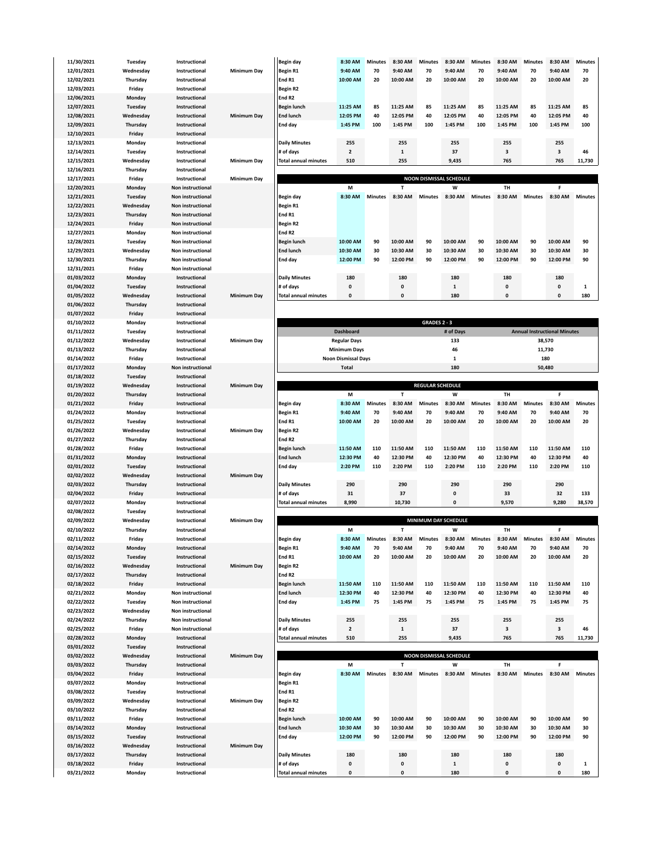| 11/30/2021 | Tuesuav   | пізнаснопаг              |                    | begiri ua          |
|------------|-----------|--------------------------|--------------------|--------------------|
| 12/01/2021 | Wednesday | Instructional            | Minimum Day        | <b>Begin R1</b>    |
| 12/02/2021 | Thursday  | Instructional            |                    | End R1             |
|            |           |                          |                    |                    |
| 12/03/2021 | Friday    | Instructional            |                    | <b>Begin R2</b>    |
| 12/06/2021 | Monday    | Instructional            |                    | End R <sub>2</sub> |
| 12/07/2021 | Tuesday   | Instructional            |                    | <b>Begin lur</b>   |
| 12/08/2021 |           | Instructional            |                    |                    |
|            | Wednesday |                          | Minimum Day        | <b>End lunc</b>    |
| 12/09/2021 | Thursday  | Instructional            |                    | End day            |
| 12/10/2021 | Friday    | Instructional            |                    |                    |
| 12/13/2021 | Monday    | Instructional            |                    | Daily Mi           |
|            |           |                          |                    |                    |
| 12/14/2021 | Tuesday   | Instructional            |                    | # of days          |
| 12/15/2021 | Wednesday | Instructional            | Minimum Day        | <b>Total anr</b>   |
| 12/16/2021 | Thursday  | Instructional            |                    |                    |
|            |           |                          |                    |                    |
| 12/17/2021 | Friday    | Instructional            | <b>Minimum Day</b> |                    |
| 12/20/2021 | Monday    | Non instructional        |                    |                    |
| 12/21/2021 | Tuesday   | Non instructional        |                    | Begin da           |
| 12/22/2021 | Wednesday | Non instructional        |                    | Begin R1           |
|            |           |                          |                    |                    |
| 12/23/2021 | Thursday  | <b>Non instructional</b> |                    | End R1             |
| 12/24/2021 | Friday    | Non instructional        |                    | <b>Begin R2</b>    |
| 12/27/2021 | Monday    | Non instructional        |                    | End R <sub>2</sub> |
|            |           |                          |                    |                    |
| 12/28/2021 | Tuesday   | Non instructional        |                    | <b>Begin lur</b>   |
| 12/29/2021 | Wednesday | Non instructional        |                    | <b>End lunc</b>    |
| 12/30/2021 | Thursday  | Non instructional        |                    | End day            |
| 12/31/2021 | Friday    | <b>Non instructional</b> |                    |                    |
|            |           |                          |                    |                    |
| 01/03/2022 | Monday    | Instructional            |                    | Daily Mi           |
| 01/04/2022 | Tuesday   | Instructional            |                    | # of days          |
| 01/05/2022 | Wednesday | Instructional            | <b>Minimum Day</b> | <b>Total anr</b>   |
| 01/06/2022 | Thursday  | Instructional            |                    |                    |
|            |           |                          |                    |                    |
| 01/07/2022 | Friday    | Instructional            |                    |                    |
| 01/10/2022 | Monday    | Instructional            |                    |                    |
| 01/11/2022 | Tuesday   | Instructional            |                    |                    |
|            |           |                          |                    |                    |
| 01/12/2022 | Wednesday | Instructional            | <b>Minimum Day</b> |                    |
| 01/13/2022 | Thursday  | Instructional            |                    |                    |
| 01/14/2022 | Friday    | Instructional            |                    |                    |
| 01/17/2022 | Monday    | Non instructional        |                    |                    |
|            |           |                          |                    |                    |
| 01/18/2022 | Tuesday   | Instructional            |                    |                    |
| 01/19/2022 | Wednesday | Instructional            | <b>Minimum Day</b> |                    |
| 01/20/2022 | Thursday  | Instructional            |                    |                    |
|            |           |                          |                    |                    |
| 01/21/2022 | Friday    | Instructional            |                    | Begin da           |
| 01/24/2022 | Monday    | Instructional            |                    | <b>Begin R1</b>    |
| 01/25/2022 | Tuesday   | Instructional            |                    | End R1             |
| 01/26/2022 | Wednesday | Instructional            | Minimum Day        |                    |
|            |           |                          |                    | <b>Begin R2</b>    |
| 01/27/2022 | Thursday  | Instructional            |                    | End R <sub>2</sub> |
| 01/28/2022 | Friday    | Instructional            |                    | <b>Begin lur</b>   |
| 01/31/2022 | Monday    | Instructional            |                    | <b>End lunc</b>    |
|            |           |                          |                    |                    |
| 02/01/2022 | Tuesday   | Instructional            |                    | End day            |
| 02/02/2022 | Wednesday | Instructional            | <b>Minimum Day</b> |                    |
| 02/03/2022 | Thursday  | Instructional            |                    | Daily Mi           |
| 02/04/2022 | Friday    | Instructional            |                    | # of days          |
|            |           |                          |                    |                    |
| 02/07/2022 | Monday    | Instructional            |                    | <b>Total anr</b>   |
| 02/08/2022 | Tuesday   | Instructional            |                    |                    |
| 02/09/2022 | Wednesday | Instructional            | <b>Minimum Day</b> |                    |
|            | Thursday  |                          |                    |                    |
| 02/10/2022 |           | Instructional            |                    |                    |
| 02/11/2022 | Friday    | Instructional            |                    | Begin da           |
| 02/14/2022 | Monday    | Instructional            |                    | Begin R1           |
| 02/15/2022 | Tuesday   | Instructional            |                    | End R1             |
|            |           |                          |                    |                    |
| 02/16/2022 | Wednesday | Instructional            | Minimum Day        | <b>Begin R2</b>    |
| 02/17/2022 | Thursday  | Instructional            |                    | End R <sub>2</sub> |
| 02/18/2022 | Friday    | Instructional            |                    | <b>Begin lur</b>   |
|            |           | Non instructional        |                    | <b>End lunc</b>    |
| 02/21/2022 | Monday    |                          |                    |                    |
| 02/22/2022 | Tuesday   | Non instructional        |                    | End day            |
| 02/23/2022 | Wednesday | Non instructional        |                    |                    |
| 02/24/2022 | Thursday  | Non instructional        |                    | Daily Mi           |
|            |           |                          |                    |                    |
| 02/25/2022 | Friday    | Non instructional        |                    | # of days          |
| 02/28/2022 | Monday    | Instructional            |                    | <b>Total anr</b>   |
| 03/01/2022 | Tuesday   | Instructional            |                    |                    |
| 03/02/2022 | Wednesday | Instructional            | <b>Minimum Day</b> |                    |
|            |           |                          |                    |                    |
| 03/03/2022 | Thursday  | Instructional            |                    |                    |
| 03/04/2022 | Friday    | Instructional            |                    | Begin da           |
| 03/07/2022 | Monday    | Instructional            |                    | Begin R1           |
|            |           |                          |                    |                    |
| 03/08/2022 | Tuesday   | Instructional            |                    | End R1             |
| 03/09/2022 | Wednesday | Instructional            | Minimum Day        | <b>Begin R2</b>    |
| 03/10/2022 | Thursday  | Instructional            |                    | End R <sub>2</sub> |
| 03/11/2022 | Friday    | Instructional            |                    | <b>Begin lur</b>   |
|            |           |                          |                    |                    |
| 03/14/2022 | Monday    | Instructional            |                    | <b>End lunc</b>    |
| 03/15/2022 | Tuesday   | Instructional            |                    | End day            |
| 03/16/2022 | Wednesday | Instructional            | <b>Minimum Day</b> |                    |
|            |           | Instructional            |                    |                    |
| 03/17/2022 | Thursday  |                          |                    | Daily Mi           |
| 03/18/2022 | Friday    | Instructional            |                    | # of days          |
| 03/21/2022 | Monday    | Instructional            |                    | <b>Total anr</b>   |
|            |           |                          |                    |                    |

| 11/30/2021 | Tuesday   | Instructional     |                    | Begin day                   | 8:30 AM        | <b>Minutes</b> | 8:30 AM  | <b>Minutes</b> | 8:30 AM                        | <b>Minutes</b> | 8:30 AM  | <b>Minutes</b> | 8:30 AM                 | <b>Minutes</b> |
|------------|-----------|-------------------|--------------------|-----------------------------|----------------|----------------|----------|----------------|--------------------------------|----------------|----------|----------------|-------------------------|----------------|
| 12/01/2021 | Wednesday | Instructional     | <b>Minimum Dav</b> | Begin R1                    | 9:40 AM        | 70             | 9:40 AM  | 70             | 9:40 AM                        | 70             | 9:40 AM  | 70             | 9:40 AM                 | 70             |
| 12/02/2021 | Thursday  | Instructional     |                    | End R1                      | 10:00 AM       | 20             | 10:00 AM | 20             | 10:00 AM                       | 20             | 10:00 AM | 20             | 10:00 AM                | 20             |
| 12/03/2021 | Friday    | Instructional     |                    | Begin R2                    |                |                |          |                |                                |                |          |                |                         |                |
| 12/06/2021 | Monday    | Instructional     |                    | End R <sub>2</sub>          |                |                |          |                |                                |                |          |                |                         |                |
| 12/07/2021 | Tuesday   | Instructional     |                    | Begin lunch                 | 11:25 AM       | 85             | 11:25 AM | 85             | 11:25 AM                       | 85             | 11:25 AM | 85             | 11:25 AM                | 85             |
| 12/08/2021 | Wednesday | Instructional     | Minimum Day        | <b>End lunch</b>            | 12:05 PM       | 40             | 12:05 PM | 40             | 12:05 PM                       | 40             | 12:05 PM | 40             | 12:05 PM                | 40             |
| 12/09/2021 | Thursday  | Instructional     |                    | End day                     | 1:45 PM        | 100            | 1:45 PM  | 100            | 1:45 PM                        | 100            | 1:45 PM  | 100            | 1:45 PM                 | 100            |
| 12/10/2021 | Friday    | Instructional     |                    |                             |                |                |          |                |                                |                |          |                |                         |                |
| 12/13/2021 | Monday    | Instructional     |                    | <b>Daily Minutes</b>        | 255            |                | 255      |                | 255                            |                | 255      |                | 255                     |                |
| 12/14/2021 | Tuesday   | Instructional     |                    | $#$ of days                 | $\overline{2}$ |                |          |                | 37                             |                | 3        |                | $\overline{\mathbf{3}}$ | 46             |
| 12/15/2021 | Wednesday | Instructional     | <b>Minimum Dav</b> | <b>Total annual minutes</b> | 510            |                | 255      |                | 9,435                          |                | 765      |                | 765                     | 11,730         |
| 12/16/2021 | Thursday  | Instructional     |                    |                             |                |                |          |                |                                |                |          |                |                         |                |
| 12/17/2021 | Friday    | Instructional     | <b>Minimum Dav</b> |                             |                |                |          |                | <b>NOON DISMISSAL SCHEDULE</b> |                |          |                |                         |                |
| 12/20/2021 | Monday    | Non instructional |                    |                             | M              |                |          |                | W                              |                | TН       |                |                         |                |

| 12/20/2021 | Monday    | <b>Non instructional</b> |                    |                             | M            |                |              |                | W        |         | <b>TH</b> |                |              |                |
|------------|-----------|--------------------------|--------------------|-----------------------------|--------------|----------------|--------------|----------------|----------|---------|-----------|----------------|--------------|----------------|
| 12/21/2021 | Tuesday   | <b>Non instructional</b> |                    | Begin day                   | 8:30 AM      | <b>Minutes</b> | 8:30 AM      | <b>Minutes</b> | 8:30 AM  | Minutes | 8:30 AM   | <b>Minutes</b> | 8:30 AM      | <b>Minutes</b> |
| 12/22/2021 | Wednesday | <b>Non instructional</b> |                    | Begin R1                    |              |                |              |                |          |         |           |                |              |                |
| 12/23/2021 | Thursday  | <b>Non instructional</b> |                    | End R1                      |              |                |              |                |          |         |           |                |              |                |
| 12/24/2021 | Friday    | <b>Non instructional</b> |                    | Begin R2                    |              |                |              |                |          |         |           |                |              |                |
| 12/27/2021 | Monday    | <b>Non instructional</b> |                    | End R <sub>2</sub>          |              |                |              |                |          |         |           |                |              |                |
| 12/28/2021 | Tuesday   | <b>Non instructional</b> |                    | Begin lunch                 | 10:00 AM     | 90             | 10:00 AM     | 90             | 10:00 AM | 90      | 10:00 AM  | 90             | 10:00 AM     | 90             |
| 12/29/2021 | Wednesday | <b>Non instructional</b> |                    | <b>End lunch</b>            | 10:30 AM     | 30             | 10:30 AM     | 30             | 10:30 AM | 30      | 10:30 AM  | 30             | 10:30 AM     | 30             |
| 12/30/2021 | Thursdav  | <b>Non instructional</b> |                    | End day                     | 12:00 PM     | 90             | 12:00 PM     | 90             | 12:00 PM | 90      | 12:00 PM  | 90             | 12:00 PM     | 90             |
| 12/31/2021 | Fridav    | <b>Non instructional</b> |                    |                             |              |                |              |                |          |         |           |                |              |                |
| 01/03/2022 | Monday    | Instructional            |                    | <b>Daily Minutes</b>        | 180          |                | 180          |                | 180      |         | 180       |                | 180          |                |
| 01/04/2022 | Tuesday   | Instructional            |                    | $#$ of days                 | $\mathbf{0}$ |                | $\mathbf{0}$ |                | 1        |         | 0         |                | $\mathbf{0}$ |                |
| 01/05/2022 | Wednesdav | Instructional            | <b>Minimum Dav</b> | <b>Total annual minutes</b> | $\mathbf{0}$ |                | $\mathbf{0}$ |                | 180      |         | 0         |                | 0            | 180            |

| 01/10/2022        | Monday    | Instructional            |                    | <b>GRADES 2 - 3</b>        |           |                                     |  |  |  |  |  |  |  |
|-------------------|-----------|--------------------------|--------------------|----------------------------|-----------|-------------------------------------|--|--|--|--|--|--|--|
| 01/11/2022        | Tuesdav   | Instructional            |                    | <b>Dashboard</b>           | # of Davs | <b>Annual Instructional Minutes</b> |  |  |  |  |  |  |  |
| <b>01/12/2022</b> | Wednesdav | Instructional            | <b>Minimum Dav</b> | <b>Regular Days</b>        | 133       | 38,570                              |  |  |  |  |  |  |  |
| 01/13/2022        | Thursdav  | Instructional            |                    | <b>Minimum Davs</b>        | 46        | 11,730                              |  |  |  |  |  |  |  |
| 01/14/2022        | Fridav    | Instructional            |                    | <b>Noon Dismissal Davs</b> |           | 180                                 |  |  |  |  |  |  |  |
| 01/17/2022        | Monday    | <b>Non instructional</b> |                    | Total                      | 180       | 50,480                              |  |  |  |  |  |  |  |

| 01/19/2022 | Wednesday | Instructional | <b>Minimum Dav</b> |                             |          |                |          | <b>REGULAR SCHEDULE</b> |          |                |           |                |          |                |
|------------|-----------|---------------|--------------------|-----------------------------|----------|----------------|----------|-------------------------|----------|----------------|-----------|----------------|----------|----------------|
| 01/20/2022 | Thursday  | Instructional |                    |                             | M        |                |          |                         | W        |                | <b>TH</b> |                |          |                |
| 01/21/2022 | Friday    | Instructional |                    | Begin day                   | 8:30 AM  | <b>Minutes</b> | 8:30 AM  | <b>Minutes</b>          | 8:30 AM  | <b>Minutes</b> | 8:30 AM   | <b>Minutes</b> | 8:30 AM  | <b>Minutes</b> |
| 01/24/2022 | Monday    | Instructional |                    | Begin R1                    | 9:40 AM  | 70             | 9:40 AM  | 70                      | 9:40 AM  | 70             | 9:40 AM   | 70             | 9:40 AM  | 70             |
| 01/25/2022 | Tuesday   | Instructional |                    | End R1                      | 10:00 AM | 20             | 10:00 AM | 20                      | 10:00 AM | 20             | 10:00 AM  | 20             | 10:00 AM | 20             |
| 01/26/2022 | Wednesday | Instructional | <b>Minimum Dav</b> | Begin R2                    |          |                |          |                         |          |                |           |                |          |                |
| 01/27/2022 | Thursday  | Instructional |                    | End R <sub>2</sub>          |          |                |          |                         |          |                |           |                |          |                |
| 01/28/2022 | Friday    | Instructional |                    | Begin lunch                 | 11:50 AM | 110            | 11:50 AM | 110                     | 11:50 AM | 110            | 11:50 AM  | 110            | 11:50 AM | 110            |
| 01/31/2022 | Monday    | Instructional |                    | <b>End lunch</b>            | 12:30 PM | 40             | 12:30 PM | 40                      | 12:30 PM | 40             | 12:30 PM  | 40             | 12:30 PM | 40             |
| 02/01/2022 | Tuesday   | Instructional |                    | End day                     | 2:20 PM  | 110            | 2:20 PM  | 110                     | 2:20 PM  | 110            | 2:20 PM   | 110            | 2:20 PM  | 110            |
| 02/02/2022 | Wednesday | Instructional | Minimum Day        |                             |          |                |          |                         |          |                |           |                |          |                |
| 02/03/2022 | Thursday  | Instructional |                    | <b>Daily Minutes</b>        | 290      |                | 290      |                         | 290      |                | 290       |                | 290      |                |
| 02/04/2022 | Fridav    | Instructional |                    | # of days                   | 31       |                | 37       |                         | 0        |                | 33        |                | 32       | 133            |
| 02/07/2022 | Monday    | Instructional |                    | <b>Total annual minutes</b> | 8,990    |                | 10,730   |                         | 0        |                | 9,570     |                | 9,280    | 38,570         |
| 02/08/2022 | Tuesday   | Instructional |                    |                             |          |                |          |                         |          |                |           |                |          |                |

| Thursday  | Instructional            |                    |                             | M              |                |              |                | W        |                | <b>TH</b>                   |                |          |                |  |
|-----------|--------------------------|--------------------|-----------------------------|----------------|----------------|--------------|----------------|----------|----------------|-----------------------------|----------------|----------|----------------|--|
| Friday    | Instructional            |                    | Begin day                   | 8:30 AM        | <b>Minutes</b> | 8:30 AM      | <b>Minutes</b> | 8:30 AM  | <b>Minutes</b> | 8:30 AM                     | <b>Minutes</b> | 8:30 AM  | <b>Minutes</b> |  |
| Monday    | Instructional            |                    | Begin R1                    | 9:40 AM        | 70             | 9:40 AM      | 70             | 9:40 AM  | 70             | 9:40 AM                     | 70             | 9:40 AM  | 70             |  |
| Tuesday   | Instructional            |                    | End R1                      | 10:00 AM       | 20             | 10:00 AM     | 20             | 10:00 AM | 20             | 10:00 AM                    | 20             | 10:00 AM | 20             |  |
| Wednesday | Instructional            | <b>Minimum Dav</b> | Begin R2                    |                |                |              |                |          |                |                             |                |          |                |  |
| Thursday  | Instructional            |                    | End R <sub>2</sub>          |                |                |              |                |          |                |                             |                |          |                |  |
| Friday    | Instructional            |                    | Begin lunch                 | 11:50 AM       | 110            | 11:50 AM     | 110            | 11:50 AM | 110            | 11:50 AM                    | 110            | 11:50 AM | 110            |  |
| Monday    | <b>Non instructional</b> |                    | <b>End lunch</b>            | 12:30 PM       | 40             | 12:30 PM     | 40             | 12:30 PM | 40             | 12:30 PM                    | 40             | 12:30 PM | 40             |  |
| Tuesday   | <b>Non instructional</b> |                    | End day                     | 1:45 PM        | 75             | 1:45 PM      | 75             | 1:45 PM  | 75             | 1:45 PM                     | 75             | 1:45 PM  | 75             |  |
| Wednesdav | <b>Non instructional</b> |                    |                             |                |                |              |                |          |                |                             |                |          |                |  |
| Thursday  | <b>Non instructional</b> |                    | <b>Daily Minutes</b>        | 255            |                | 255          |                | 255      |                | 255                         |                | 255      |                |  |
| Fridav    | <b>Non instructional</b> |                    | # of days                   | $\overline{2}$ |                | $\mathbf{1}$ |                | 37       |                |                             |                | 3        | 46             |  |
| Monday    | Instructional            |                    | <b>Total annual minutes</b> | 510            |                | 255          |                | 9,435    |                | 765                         |                | 765      | 11,730         |  |
|           | Wednesdav                | Instructional      | <b>Minimum Dav</b>          |                |                |              |                |          |                | <b>MINIMUM DAY SCHEDULE</b> |                |          |                |  |

|                   | . 2.0.0.0.0.7 |               |                    |                             |              |                |              |                |                                |                |           |                |              |                |
|-------------------|---------------|---------------|--------------------|-----------------------------|--------------|----------------|--------------|----------------|--------------------------------|----------------|-----------|----------------|--------------|----------------|
| 03/02/2022        | Wednesday     | Instructional | <b>Minimum Dav</b> |                             |              |                |              |                | <b>NOON DISMISSAL SCHEDULE</b> |                |           |                |              |                |
| 03/03/2022        | Thursday      | Instructional |                    |                             | M            |                |              |                | W                              |                | <b>TH</b> |                |              |                |
| 03/04/2022        | Friday        | Instructional |                    | Begin day                   | 8:30 AM      | <b>Minutes</b> | 8:30 AM      | <b>Minutes</b> | 8:30 AM                        | <b>Minutes</b> | 8:30 AM   | <b>Minutes</b> | 8:30 AM      | <b>Minutes</b> |
| 03/07/2022        | Monday        | Instructional |                    | Begin R1                    |              |                |              |                |                                |                |           |                |              |                |
| 03/08/2022        | Tuesday       | Instructional |                    | End R1                      |              |                |              |                |                                |                |           |                |              |                |
| 03/09/2022        | Wednesday     | Instructional | Minimum Day        | Begin R <sub>2</sub>        |              |                |              |                |                                |                |           |                |              |                |
| 03/10/2022        | Thursday      | Instructional |                    | End R <sub>2</sub>          |              |                |              |                |                                |                |           |                |              |                |
| <b>03/11/2022</b> | Friday        | Instructional |                    | Begin lunch                 | 10:00 AM     | 90             | 10:00 AM     | 90             | 10:00 AM                       | 90             | 10:00 AM  | 90             | 10:00 AM     | 90             |
| <b>03/14/2022</b> | Monday        | Instructional |                    | <b>End lunch</b>            | 10:30 AM     | 30             | 10:30 AM     | 30             | 10:30 AM                       | 30             | 10:30 AM  | 30             | 10:30 AM     | 30             |
| 03/15/2022        | Tuesday       | Instructional |                    | End day                     | 12:00 PM     | 90             | 12:00 PM     | 90             | 12:00 PM                       | 90             | 12:00 PM  | 90             | 12:00 PM     | 90             |
| 03/16/2022        | Wednesday     | Instructional | <b>Minimum Dav</b> |                             |              |                |              |                |                                |                |           |                |              |                |
| 03/17/2022        | Thursday      | Instructional |                    | Daily Minutes               | 180          |                | 180          |                | 180                            |                | 180       |                | 180          |                |
| 03/18/2022        | Friday        | Instructional |                    | $#$ of days                 | $\mathbf{0}$ |                | $\mathbf{0}$ |                | $\mathbf{1}$                   |                | 0         |                | $\mathbf{0}$ |                |
| 03/21/2022        | Monday        | Instructional |                    | <b>Total annual minutes</b> | $\mathbf{o}$ |                | $\mathbf{0}$ |                | 180                            |                | 0         |                | $\mathbf{0}$ | 180            |
|                   |               |               |                    |                             |              |                |              |                |                                |                |           |                |              |                |